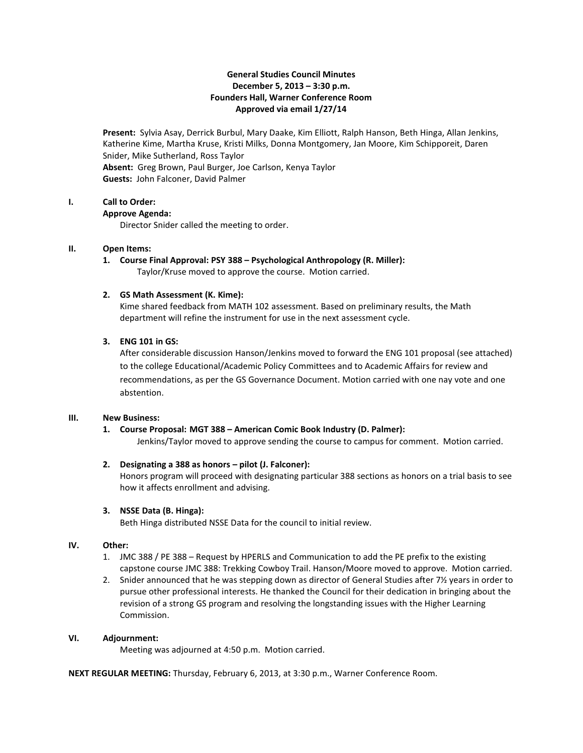# **General Studies Council Minutes December 5, 2013 – 3:30 p.m. Founders Hall, Warner Conference Room Approved via email 1/27/14**

**Present:** Sylvia Asay, Derrick Burbul, Mary Daake, Kim Elliott, Ralph Hanson, Beth Hinga, Allan Jenkins, Katherine Kime, Martha Kruse, Kristi Milks, Donna Montgomery, Jan Moore, Kim Schipporeit, Daren Snider, Mike Sutherland, Ross Taylor **Absent:** Greg Brown, Paul Burger, Joe Carlson, Kenya Taylor **Guests:** John Falconer, David Palmer

#### **I. Call to Order:**

#### **Approve Agenda:**

Director Snider called the meeting to order.

## **II. Open Items:**

**1. Course Final Approval: PSY 388 – Psychological Anthropology (R. Miller):** Taylor/Kruse moved to approve the course. Motion carried.

## **2. GS Math Assessment (K. Kime):**

Kime shared feedback from MATH 102 assessment. Based on preliminary results, the Math department will refine the instrument for use in the next assessment cycle.

## **3. ENG 101 in GS:**

After considerable discussion Hanson/Jenkins moved to forward the ENG 101 proposal (see attached) to the college Educational/Academic Policy Committees and to Academic Affairs for review and recommendations, as per the GS Governance Document. Motion carried with one nay vote and one abstention.

## **III. New Business:**

# **1. Course Proposal: MGT 388 – American Comic Book Industry (D. Palmer):**

Jenkins/Taylor moved to approve sending the course to campus for comment. Motion carried.

# **2. Designating a 388 as honors – pilot (J. Falconer):**

Honors program will proceed with designating particular 388 sections as honors on a trial basis to see how it affects enrollment and advising.

# **3. NSSE Data (B. Hinga):**

Beth Hinga distributed NSSE Data for the council to initial review.

## **IV. Other:**

- 1. JMC 388 / PE 388 Request by HPERLS and Communication to add the PE prefix to the existing capstone course JMC 388: Trekking Cowboy Trail. Hanson/Moore moved to approve. Motion carried.
- 2. Snider announced that he was stepping down as director of General Studies after  $7\frac{1}{2}$  years in order to pursue other professional interests. He thanked the Council for their dedication in bringing about the revision of a strong GS program and resolving the longstanding issues with the Higher Learning Commission.

# **VI. Adjournment:**

Meeting was adjourned at 4:50 p.m. Motion carried.

**NEXT REGULAR MEETING:** Thursday, February 6, 2013, at 3:30 p.m., Warner Conference Room.